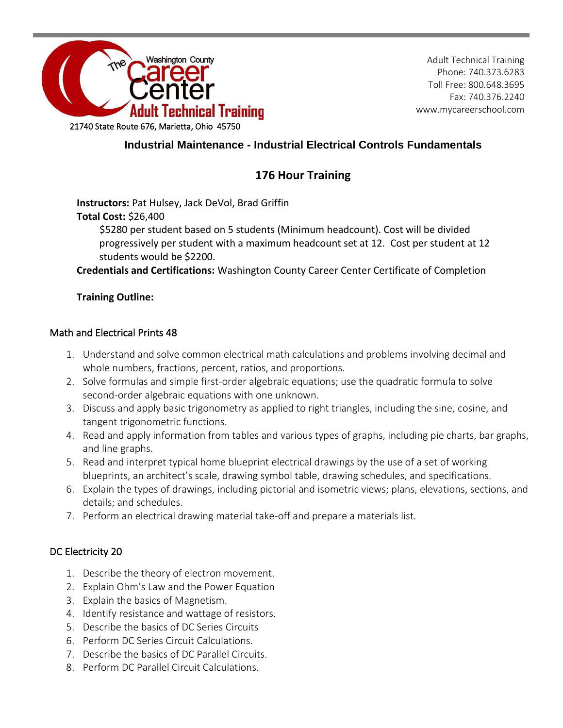

Adult Technical Training Phone: 740.373.6283 Toll Free: 800.648.3695 Fax: 740.376.2240 www.mycareerschool.com

# **Industrial Maintenance - Industrial Electrical Controls Fundamentals**

# **176 Hour Training**

**Instructors:** Pat Hulsey, Jack DeVol, Brad Griffin

# **Total Cost:** \$26,400

\$5280 per student based on 5 students (Minimum headcount). Cost will be divided progressively per student with a maximum headcount set at 12. Cost per student at 12 students would be \$2200.

**Credentials and Certifications:** Washington County Career Center Certificate of Completion

# **Training Outline:**

### Math and Electrical Prints 48

- 1. Understand and solve common electrical math calculations and problems involving decimal and whole numbers, fractions, percent, ratios, and proportions.
- 2. Solve formulas and simple first-order algebraic equations; use the quadratic formula to solve second-order algebraic equations with one unknown.
- 3. Discuss and apply basic trigonometry as applied to right triangles, including the sine, cosine, and tangent trigonometric functions.
- 4. Read and apply information from tables and various types of graphs, including pie charts, bar graphs, and line graphs.
- 5. Read and interpret typical home blueprint electrical drawings by the use of a set of working blueprints, an architect's scale, drawing symbol table, drawing schedules, and specifications.
- 6. Explain the types of drawings, including pictorial and isometric views; plans, elevations, sections, and details; and schedules.
- 7. Perform an electrical drawing material take-off and prepare a materials list.

# DC Electricity 20

- 1. Describe the theory of electron movement.
- 2. Explain Ohm's Law and the Power Equation
- 3. Explain the basics of Magnetism.
- 4. Identify resistance and wattage of resistors.
- 5. Describe the basics of DC Series Circuits
- 6. Perform DC Series Circuit Calculations.
- 7. Describe the basics of DC Parallel Circuits.
- 8. Perform DC Parallel Circuit Calculations.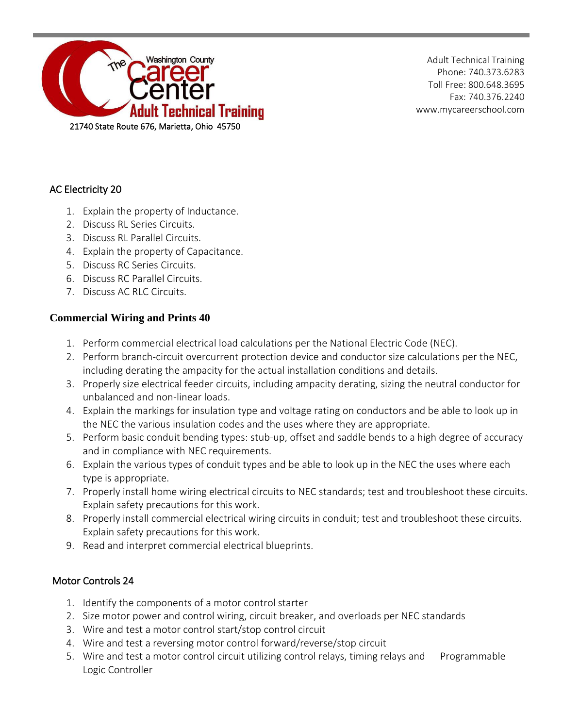

Adult Technical Training Phone: 740.373.6283 Toll Free: 800.648.3695 Fax: 740.376.2240 www.mycareerschool.com

# AC Electricity 20

- 1. Explain the property of Inductance.
- 2. Discuss RL Series Circuits.
- 3. Discuss RL Parallel Circuits.
- 4. Explain the property of Capacitance.
- 5. Discuss RC Series Circuits.
- 6. Discuss RC Parallel Circuits.
- 7. Discuss AC RLC Circuits.

# **Commercial Wiring and Prints 40**

- 1. Perform commercial electrical load calculations per the National Electric Code (NEC).
- 2. Perform branch-circuit overcurrent protection device and conductor size calculations per the NEC, including derating the ampacity for the actual installation conditions and details.
- 3. Properly size electrical feeder circuits, including ampacity derating, sizing the neutral conductor for unbalanced and non-linear loads.
- 4. Explain the markings for insulation type and voltage rating on conductors and be able to look up in the NEC the various insulation codes and the uses where they are appropriate.
- 5. Perform basic conduit bending types: stub-up, offset and saddle bends to a high degree of accuracy and in compliance with NEC requirements.
- 6. Explain the various types of conduit types and be able to look up in the NEC the uses where each type is appropriate.
- 7. Properly install home wiring electrical circuits to NEC standards; test and troubleshoot these circuits. Explain safety precautions for this work.
- 8. Properly install commercial electrical wiring circuits in conduit; test and troubleshoot these circuits. Explain safety precautions for this work.
- 9. Read and interpret commercial electrical blueprints.

### Motor Controls 24

- 1. Identify the components of a motor control starter
- 2. Size motor power and control wiring, circuit breaker, and overloads per NEC standards
- 3. Wire and test a motor control start/stop control circuit
- 4. Wire and test a reversing motor control forward/reverse/stop circuit
- 5. Wire and test a motor control circuit utilizing control relays, timing relays and Programmable Logic Controller